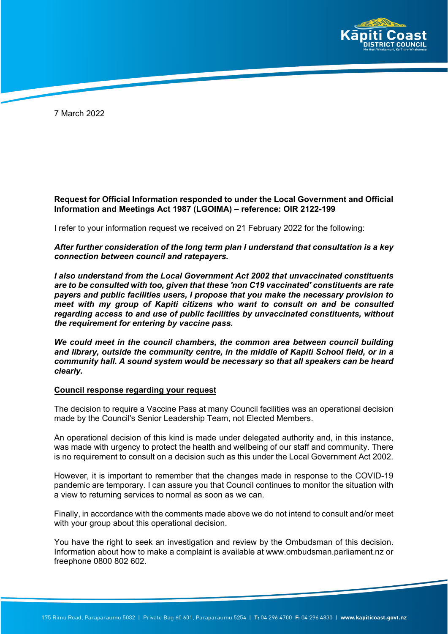

7 March 2022

## **Request for Official Information responded to under the Local Government and Official Information and Meetings Act 1987 (LGOIMA) – reference: OIR 2122-199**

I refer to your information request we received on 21 February 2022 for the following:

## *After further consideration of the long term plan I understand that consultation is a key connection between council and ratepayers.*

*I also understand from the Local Government Act 2002 that unvaccinated constituents are to be consulted with too, given that these 'non C19 vaccinated' constituents are rate payers and public facilities users, I propose that you make the necessary provision to meet with my group of Kapiti citizens who want to consult on and be consulted regarding access to and use of public facilities by unvaccinated constituents, without the requirement for entering by vaccine pass.* 

We could meet in the council chambers, the common area between council building *and library, outside the community centre, in the middle of Kapiti School field, or in a community hall. A sound system would be necessary so that all speakers can be heard clearly.*

## **Council response regarding your request**

The decision to require a Vaccine Pass at many Council facilities was an operational decision made by the Council's Senior Leadership Team, not Elected Members.

An operational decision of this kind is made under delegated authority and, in this instance, was made with urgency to protect the health and wellbeing of our staff and community. There is no requirement to consult on a decision such as this under the Local Government Act 2002.

However, it is important to remember that the changes made in response to the COVID-19 pandemic are temporary. I can assure you that Council continues to monitor the situation with a view to returning services to normal as soon as we can.

Finally, in accordance with the comments made above we do not intend to consult and/or meet with your group about this operational decision.

You have the right to seek an investigation and review by the Ombudsman of this decision. Information about how to make a complaint is available at www.ombudsman.parliament.nz or freephone 0800 802 602.